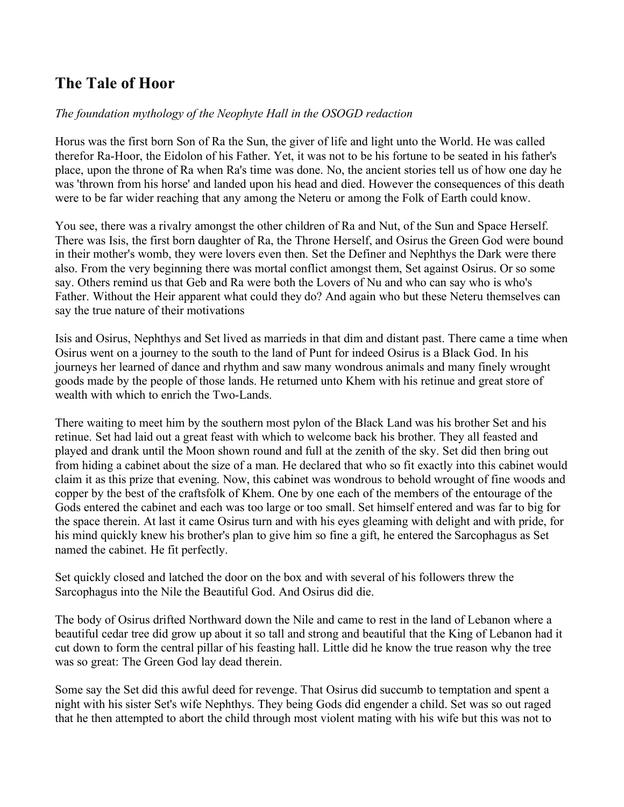## **The Tale of Hoor**

## *The foundation mythology of the Neophyte Hall in the OSOGD redaction*

Horus was the first born Son of Ra the Sun, the giver of life and light unto the World. He was called therefor Ra-Hoor, the Eidolon of his Father. Yet, it was not to be his fortune to be seated in his father's place, upon the throne of Ra when Ra's time was done. No, the ancient stories tell us of how one day he was 'thrown from his horse' and landed upon his head and died. However the consequences of this death were to be far wider reaching that any among the Neteru or among the Folk of Earth could know.

You see, there was a rivalry amongst the other children of Ra and Nut, of the Sun and Space Herself. There was Isis, the first born daughter of Ra, the Throne Herself, and Osirus the Green God were bound in their mother's womb, they were lovers even then. Set the Definer and Nephthys the Dark were there also. From the very beginning there was mortal conflict amongst them, Set against Osirus. Or so some say. Others remind us that Geb and Ra were both the Lovers of Nu and who can say who is who's Father. Without the Heir apparent what could they do? And again who but these Neteru themselves can say the true nature of their motivations

Isis and Osirus, Nephthys and Set lived as marrieds in that dim and distant past. There came a time when Osirus went on a journey to the south to the land of Punt for indeed Osirus is a Black God. In his journeys her learned of dance and rhythm and saw many wondrous animals and many finely wrought goods made by the people of those lands. He returned unto Khem with his retinue and great store of wealth with which to enrich the Two-Lands.

There waiting to meet him by the southern most pylon of the Black Land was his brother Set and his retinue. Set had laid out a great feast with which to welcome back his brother. They all feasted and played and drank until the Moon shown round and full at the zenith of the sky. Set did then bring out from hiding a cabinet about the size of a man. He declared that who so fit exactly into this cabinet would claim it as this prize that evening. Now, this cabinet was wondrous to behold wrought of fine woods and copper by the best of the craftsfolk of Khem. One by one each of the members of the entourage of the Gods entered the cabinet and each was too large or too small. Set himself entered and was far to big for the space therein. At last it came Osirus turn and with his eyes gleaming with delight and with pride, for his mind quickly knew his brother's plan to give him so fine a gift, he entered the Sarcophagus as Set named the cabinet. He fit perfectly.

Set quickly closed and latched the door on the box and with several of his followers threw the Sarcophagus into the Nile the Beautiful God. And Osirus did die.

The body of Osirus drifted Northward down the Nile and came to rest in the land of Lebanon where a beautiful cedar tree did grow up about it so tall and strong and beautiful that the King of Lebanon had it cut down to form the central pillar of his feasting hall. Little did he know the true reason why the tree was so great: The Green God lay dead therein.

Some say the Set did this awful deed for revenge. That Osirus did succumb to temptation and spent a night with his sister Set's wife Nephthys. They being Gods did engender a child. Set was so out raged that he then attempted to abort the child through most violent mating with his wife but this was not to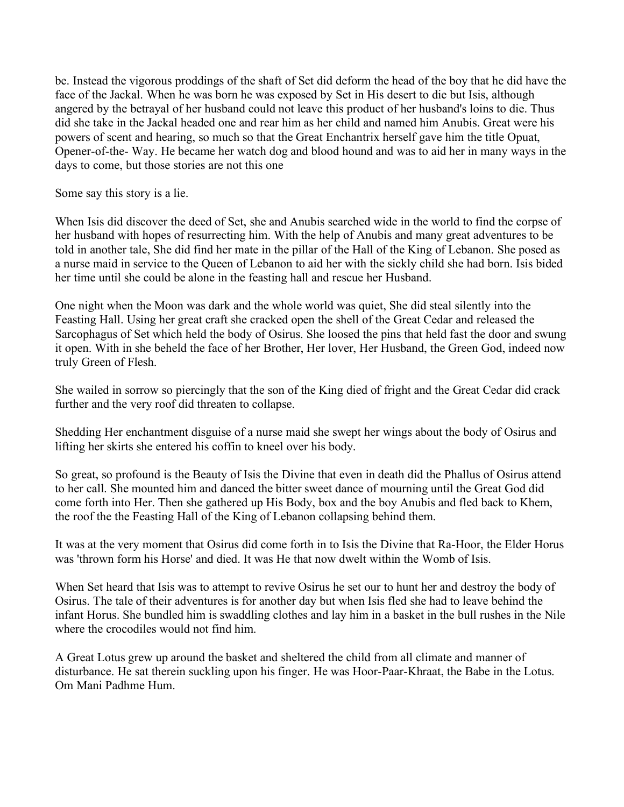be. Instead the vigorous proddings of the shaft of Set did deform the head of the boy that he did have the face of the Jackal. When he was born he was exposed by Set in His desert to die but Isis, although angered by the betrayal of her husband could not leave this product of her husband's loins to die. Thus did she take in the Jackal headed one and rear him as her child and named him Anubis. Great were his powers of scent and hearing, so much so that the Great Enchantrix herself gave him the title Opuat, Opener-of-the- Way. He became her watch dog and blood hound and was to aid her in many ways in the days to come, but those stories are not this one

Some say this story is a lie.

When Isis did discover the deed of Set, she and Anubis searched wide in the world to find the corpse of her husband with hopes of resurrecting him. With the help of Anubis and many great adventures to be told in another tale, She did find her mate in the pillar of the Hall of the King of Lebanon. She posed as a nurse maid in service to the Queen of Lebanon to aid her with the sickly child she had born. Isis bided her time until she could be alone in the feasting hall and rescue her Husband.

One night when the Moon was dark and the whole world was quiet, She did steal silently into the Feasting Hall. Using her great craft she cracked open the shell of the Great Cedar and released the Sarcophagus of Set which held the body of Osirus. She loosed the pins that held fast the door and swung it open. With in she beheld the face of her Brother, Her lover, Her Husband, the Green God, indeed now truly Green of Flesh.

She wailed in sorrow so piercingly that the son of the King died of fright and the Great Cedar did crack further and the very roof did threaten to collapse.

Shedding Her enchantment disguise of a nurse maid she swept her wings about the body of Osirus and lifting her skirts she entered his coffin to kneel over his body.

So great, so profound is the Beauty of Isis the Divine that even in death did the Phallus of Osirus attend to her call. She mounted him and danced the bitter sweet dance of mourning until the Great God did come forth into Her. Then she gathered up His Body, box and the boy Anubis and fled back to Khem, the roof the the Feasting Hall of the King of Lebanon collapsing behind them.

It was at the very moment that Osirus did come forth in to Isis the Divine that Ra-Hoor, the Elder Horus was 'thrown form his Horse' and died. It was He that now dwelt within the Womb of Isis.

When Set heard that Isis was to attempt to revive Osirus he set our to hunt her and destroy the body of Osirus. The tale of their adventures is for another day but when Isis fled she had to leave behind the infant Horus. She bundled him is swaddling clothes and lay him in a basket in the bull rushes in the Nile where the crocodiles would not find him.

A Great Lotus grew up around the basket and sheltered the child from all climate and manner of disturbance. He sat therein suckling upon his finger. He was Hoor-Paar-Khraat, the Babe in the Lotus. Om Mani Padhme Hum.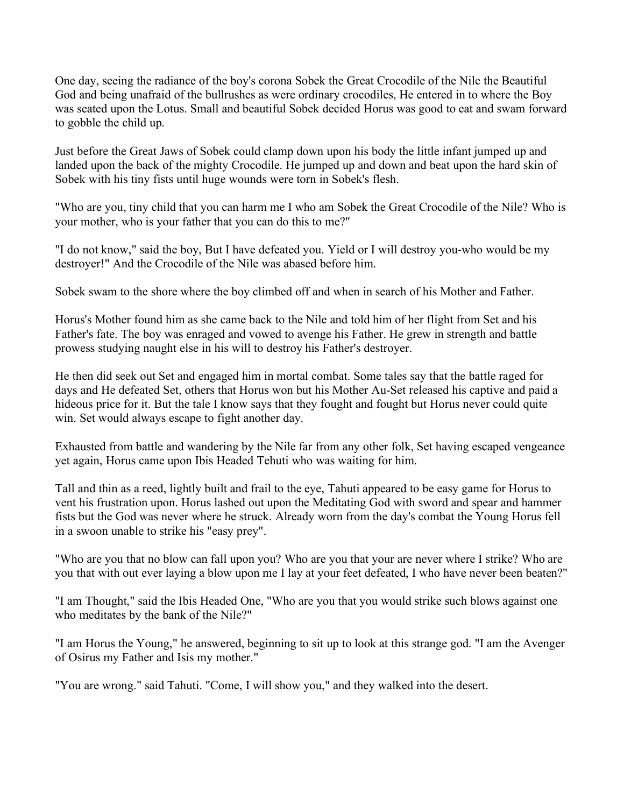One day, seeing the radiance of the boy's corona Sobek the Great Crocodile of the Nile the Beautiful God and being unafraid of the bullrushes as were ordinary crocodiles, He entered in to where the Boy was seated upon the Lotus. Small and beautiful Sobek decided Horus was good to eat and swam forward to gobble the child up.

Just before the Great Jaws of Sobek could clamp down upon his body the little infant jumped up and landed upon the back of the mighty Crocodile. He jumped up and down and beat upon the hard skin of Sobek with his tiny fists until huge wounds were torn in Sobek's flesh.

"Who are you, tiny child that you can harm me I who am Sobek the Great Crocodile of the Nile? Who is your mother, who is your father that you can do this to me?"

"I do not know," said the boy, But I have defeated you. Yield or I will destroy you-who would be my destroyer!" And the Crocodile of the Nile was abased before him.

Sobek swam to the shore where the boy climbed off and when in search of his Mother and Father.

Horus's Mother found him as she came back to the Nile and told him of her flight from Set and his Father's fate. The boy was enraged and vowed to avenge his Father. He grew in strength and battle prowess studying naught else in his will to destroy his Father's destroyer.

He then did seek out Set and engaged him in mortal combat. Some tales say that the battle raged for days and He defeated Set, others that Horus won but his Mother Au-Set released his captive and paid a hideous price for it. But the tale I know says that they fought and fought but Horus never could quite win. Set would always escape to fight another day.

Exhausted from battle and wandering by the Nile far from any other folk, Set having escaped vengeance yet again, Horus came upon Ibis Headed Tehuti who was waiting for him.

Tall and thin as a reed, lightly built and frail to the eye, Tahuti appeared to be easy game for Horus to vent his frustration upon. Horus lashed out upon the Meditating God with sword and spear and hammer fists but the God was never where he struck. Already worn from the day's combat the Young Horus fell in a swoon unable to strike his "easy prey".

"Who are you that no blow can fall upon you? Who are you that your are never where I strike? Who are you that with out ever laying a blow upon me I lay at your feet defeated, I who have never been beaten?"

"I am Thought," said the Ibis Headed One, "Who are you that you would strike such blows against one who meditates by the bank of the Nile?"

"I am Horus the Young," he answered, beginning to sit up to look at this strange god. "I am the Avenger of Osirus my Father and Isis my mother."

"You are wrong." said Tahuti. "Come, I will show you," and they walked into the desert.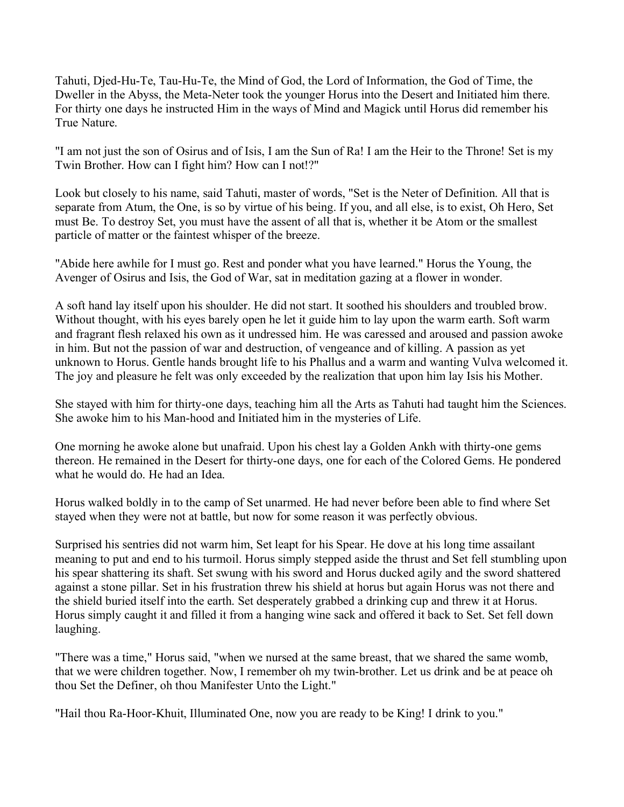Tahuti, Djed-Hu-Te, Tau-Hu-Te, the Mind of God, the Lord of Information, the God of Time, the Dweller in the Abyss, the Meta-Neter took the younger Horus into the Desert and Initiated him there. For thirty one days he instructed Him in the ways of Mind and Magick until Horus did remember his True Nature.

"I am not just the son of Osirus and of Isis, I am the Sun of Ra! I am the Heir to the Throne! Set is my Twin Brother. How can I fight him? How can I not!?"

Look but closely to his name, said Tahuti, master of words, "Set is the Neter of Definition. All that is separate from Atum, the One, is so by virtue of his being. If you, and all else, is to exist, Oh Hero, Set must Be. To destroy Set, you must have the assent of all that is, whether it be Atom or the smallest particle of matter or the faintest whisper of the breeze.

"Abide here awhile for I must go. Rest and ponder what you have learned." Horus the Young, the Avenger of Osirus and Isis, the God of War, sat in meditation gazing at a flower in wonder.

A soft hand lay itself upon his shoulder. He did not start. It soothed his shoulders and troubled brow. Without thought, with his eyes barely open he let it guide him to lay upon the warm earth. Soft warm and fragrant flesh relaxed his own as it undressed him. He was caressed and aroused and passion awoke in him. But not the passion of war and destruction, of vengeance and of killing. A passion as yet unknown to Horus. Gentle hands brought life to his Phallus and a warm and wanting Vulva welcomed it. The joy and pleasure he felt was only exceeded by the realization that upon him lay Isis his Mother.

She stayed with him for thirty-one days, teaching him all the Arts as Tahuti had taught him the Sciences. She awoke him to his Man-hood and Initiated him in the mysteries of Life.

One morning he awoke alone but unafraid. Upon his chest lay a Golden Ankh with thirty-one gems thereon. He remained in the Desert for thirty-one days, one for each of the Colored Gems. He pondered what he would do. He had an Idea.

Horus walked boldly in to the camp of Set unarmed. He had never before been able to find where Set stayed when they were not at battle, but now for some reason it was perfectly obvious.

Surprised his sentries did not warm him, Set leapt for his Spear. He dove at his long time assailant meaning to put and end to his turmoil. Horus simply stepped aside the thrust and Set fell stumbling upon his spear shattering its shaft. Set swung with his sword and Horus ducked agily and the sword shattered against a stone pillar. Set in his frustration threw his shield at horus but again Horus was not there and the shield buried itself into the earth. Set desperately grabbed a drinking cup and threw it at Horus. Horus simply caught it and filled it from a hanging wine sack and offered it back to Set. Set fell down laughing.

"There was a time," Horus said, "when we nursed at the same breast, that we shared the same womb, that we were children together. Now, I remember oh my twin-brother. Let us drink and be at peace oh thou Set the Definer, oh thou Manifester Unto the Light."

"Hail thou Ra-Hoor-Khuit, Illuminated One, now you are ready to be King! I drink to you."